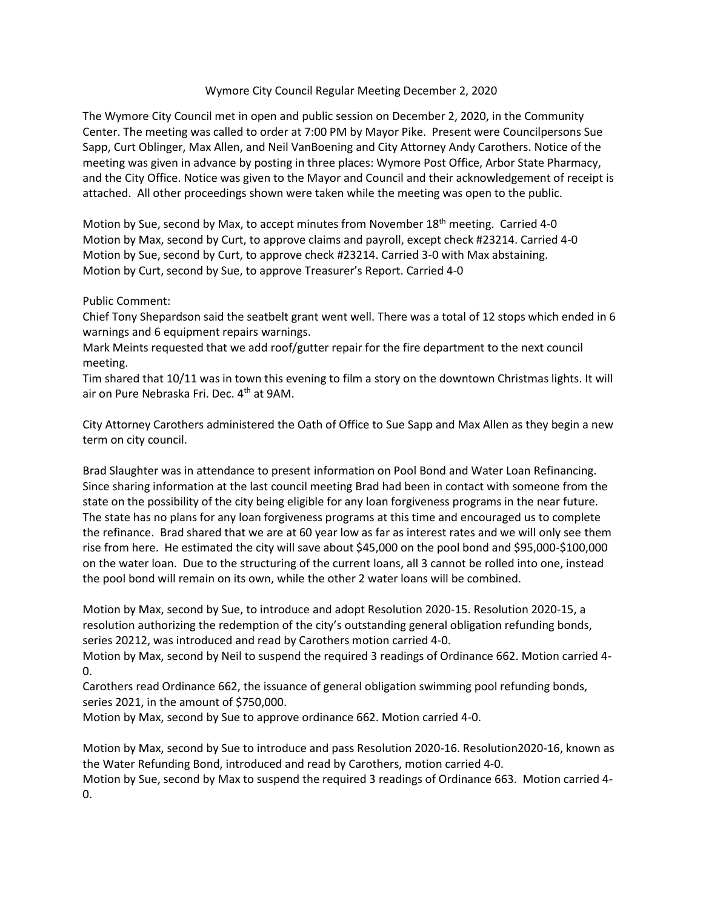## Wymore City Council Regular Meeting December 2, 2020

The Wymore City Council met in open and public session on December 2, 2020, in the Community Center. The meeting was called to order at 7:00 PM by Mayor Pike. Present were Councilpersons Sue Sapp, Curt Oblinger, Max Allen, and Neil VanBoening and City Attorney Andy Carothers. Notice of the meeting was given in advance by posting in three places: Wymore Post Office, Arbor State Pharmacy, and the City Office. Notice was given to the Mayor and Council and their acknowledgement of receipt is attached. All other proceedings shown were taken while the meeting was open to the public.

Motion by Sue, second by Max, to accept minutes from November 18<sup>th</sup> meeting. Carried 4-0 Motion by Max, second by Curt, to approve claims and payroll, except check #23214. Carried 4-0 Motion by Sue, second by Curt, to approve check #23214. Carried 3-0 with Max abstaining. Motion by Curt, second by Sue, to approve Treasurer's Report. Carried 4-0

## Public Comment:

Chief Tony Shepardson said the seatbelt grant went well. There was a total of 12 stops which ended in 6 warnings and 6 equipment repairs warnings.

Mark Meints requested that we add roof/gutter repair for the fire department to the next council meeting.

Tim shared that 10/11 was in town this evening to film a story on the downtown Christmas lights. It will air on Pure Nebraska Fri. Dec. 4th at 9AM.

City Attorney Carothers administered the Oath of Office to Sue Sapp and Max Allen as they begin a new term on city council.

Brad Slaughter was in attendance to present information on Pool Bond and Water Loan Refinancing. Since sharing information at the last council meeting Brad had been in contact with someone from the state on the possibility of the city being eligible for any loan forgiveness programs in the near future. The state has no plans for any loan forgiveness programs at this time and encouraged us to complete the refinance. Brad shared that we are at 60 year low as far as interest rates and we will only see them rise from here. He estimated the city will save about \$45,000 on the pool bond and \$95,000-\$100,000 on the water loan. Due to the structuring of the current loans, all 3 cannot be rolled into one, instead the pool bond will remain on its own, while the other 2 water loans will be combined.

Motion by Max, second by Sue, to introduce and adopt Resolution 2020-15. Resolution 2020-15, a resolution authorizing the redemption of the city's outstanding general obligation refunding bonds, series 20212, was introduced and read by Carothers motion carried 4-0.

Motion by Max, second by Neil to suspend the required 3 readings of Ordinance 662. Motion carried 4- 0.

Carothers read Ordinance 662, the issuance of general obligation swimming pool refunding bonds, series 2021, in the amount of \$750,000.

Motion by Max, second by Sue to approve ordinance 662. Motion carried 4-0.

Motion by Max, second by Sue to introduce and pass Resolution 2020-16. Resolution2020-16, known as the Water Refunding Bond, introduced and read by Carothers, motion carried 4-0.

Motion by Sue, second by Max to suspend the required 3 readings of Ordinance 663. Motion carried 4- 0.